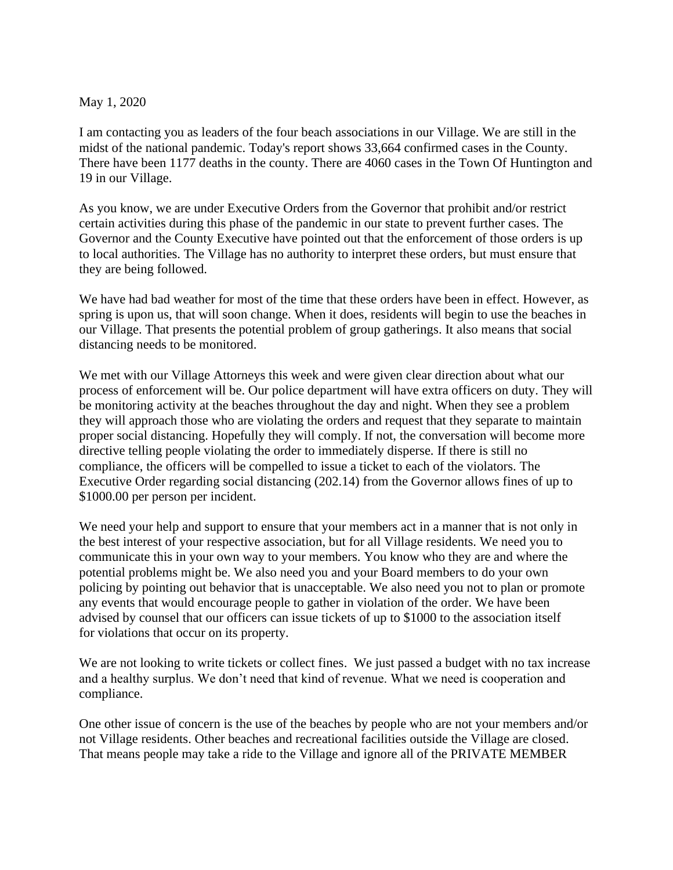## May 1, 2020

I am contacting you as leaders of the four beach associations in our Village. We are still in the midst of the national pandemic. Today's report shows 33,664 confirmed cases in the County. There have been 1177 deaths in the county. There are 4060 cases in the Town Of Huntington and 19 in our Village.

As you know, we are under Executive Orders from the Governor that prohibit and/or restrict certain activities during this phase of the pandemic in our state to prevent further cases. The Governor and the County Executive have pointed out that the enforcement of those orders is up to local authorities. The Village has no authority to interpret these orders, but must ensure that they are being followed.

We have had bad weather for most of the time that these orders have been in effect. However, as spring is upon us, that will soon change. When it does, residents will begin to use the beaches in our Village. That presents the potential problem of group gatherings. It also means that social distancing needs to be monitored.

We met with our Village Attorneys this week and were given clear direction about what our process of enforcement will be. Our police department will have extra officers on duty. They will be monitoring activity at the beaches throughout the day and night. When they see a problem they will approach those who are violating the orders and request that they separate to maintain proper social distancing. Hopefully they will comply. If not, the conversation will become more directive telling people violating the order to immediately disperse. If there is still no compliance, the officers will be compelled to issue a ticket to each of the violators. The Executive Order regarding social distancing (202.14) from the Governor allows fines of up to \$1000.00 per person per incident.

We need your help and support to ensure that your members act in a manner that is not only in the best interest of your respective association, but for all Village residents. We need you to communicate this in your own way to your members. You know who they are and where the potential problems might be. We also need you and your Board members to do your own policing by pointing out behavior that is unacceptable. We also need you not to plan or promote any events that would encourage people to gather in violation of the order. We have been advised by counsel that our officers can issue tickets of up to \$1000 to the association itself for violations that occur on its property.

We are not looking to write tickets or collect fines. We just passed a budget with no tax increase and a healthy surplus. We don't need that kind of revenue. What we need is cooperation and compliance.

One other issue of concern is the use of the beaches by people who are not your members and/or not Village residents. Other beaches and recreational facilities outside the Village are closed. That means people may take a ride to the Village and ignore all of the PRIVATE MEMBER